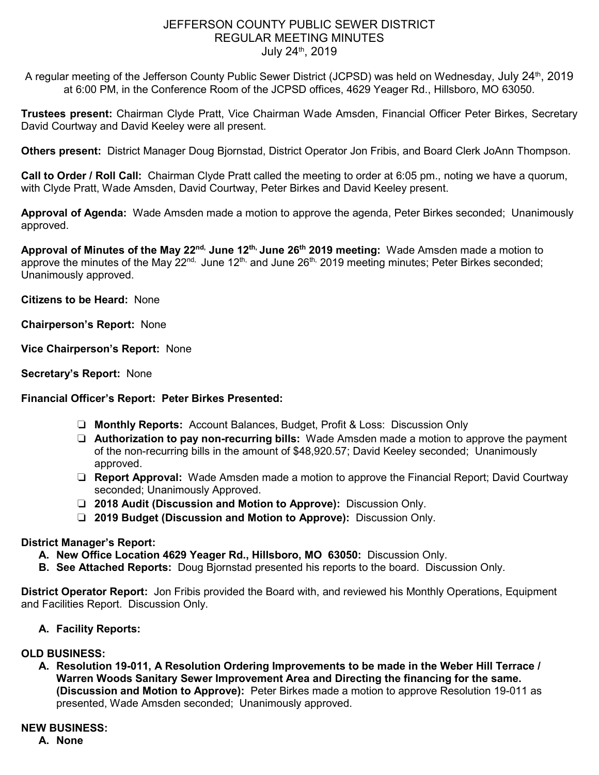## JEFFERSON COUNTY PUBLIC SEWER DISTRICT REGULAR MEETING MINUTES July 24th, 2019

A regular meeting of the Jefferson County Public Sewer District (JCPSD) was held on Wednesday, July 24<sup>th</sup>, 2019 at 6:00 PM, in the Conference Room of the JCPSD offices, 4629 Yeager Rd., Hillsboro, MO 63050.

**Trustees present:** Chairman Clyde Pratt, Vice Chairman Wade Amsden, Financial Officer Peter Birkes, Secretary David Courtway and David Keeley were all present.

**Others present:** District Manager Doug Bjornstad, District Operator Jon Fribis, and Board Clerk JoAnn Thompson.

**Call to Order / Roll Call:** Chairman Clyde Pratt called the meeting to order at 6:05 pm., noting we have a quorum, with Clyde Pratt, Wade Amsden, David Courtway, Peter Birkes and David Keeley present.

**Approval of Agenda:** Wade Amsden made a motion to approve the agenda, Peter Birkes seconded; Unanimously approved.

**Approval of Minutes of the May 22nd, June 12th, June 26th 2019 meeting:** Wade Amsden made a motion to approve the minutes of the May  $22^{nd}$ , June  $12^{th}$ , and June  $26^{th}$ , 2019 meeting minutes; Peter Birkes seconded; Unanimously approved.

**Citizens to be Heard:** None

**Chairperson's Report:** None

**Vice Chairperson's Report:** None

**Secretary's Report:** None

#### **Financial Officer's Report: Peter Birkes Presented:**

- ❏ **Monthly Reports:** Account Balances, Budget, Profit & Loss: Discussion Only
- ❏ **Authorization to pay non-recurring bills:** Wade Amsden made a motion to approve the payment of the non-recurring bills in the amount of \$48,920.57; David Keeley seconded; Unanimously approved.
- ❏ **Report Approval:** Wade Amsden made a motion to approve the Financial Report; David Courtway seconded; Unanimously Approved.
- ❏ **2018 Audit (Discussion and Motion to Approve):** Discussion Only.
- ❏ **2019 Budget (Discussion and Motion to Approve):** Discussion Only.

## **District Manager's Report:**

- **A. New Office Location 4629 Yeager Rd., Hillsboro, MO 63050:** Discussion Only.
- **B. See Attached Reports:** Doug Bjornstad presented his reports to the board. Discussion Only.

**District Operator Report:** Jon Fribis provided the Board with, and reviewed his Monthly Operations, Equipment and Facilities Report. Discussion Only.

**A. Facility Reports:** 

#### **OLD BUSINESS:**

**A. Resolution 19-011, A Resolution Ordering Improvements to be made in the Weber Hill Terrace / Warren Woods Sanitary Sewer Improvement Area and Directing the financing for the same. (Discussion and Motion to Approve):** Peter Birkes made a motion to approve Resolution 19-011 as presented, Wade Amsden seconded; Unanimously approved.

#### **NEW BUSINESS:**

**A. None**